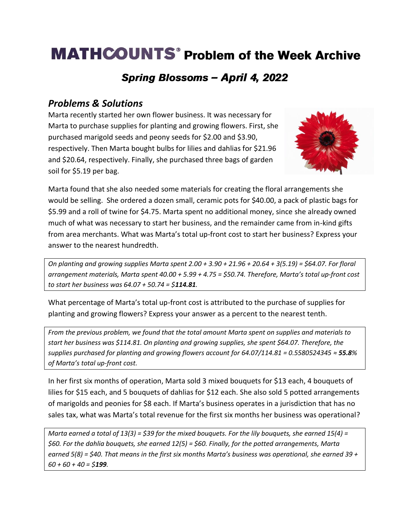# **MATHCOUNTS<sup>®</sup> Problem of the Week Archive**

## Spring Blossoms - April 4, 2022

### *Problems & Solutions*

Marta recently started her own flower business. It was necessary for Marta to purchase supplies for planting and growing flowers. First, she purchased marigold seeds and peony seeds for \$2.00 and \$3.90, respectively. Then Marta bought bulbs for lilies and dahlias for \$21.96 and \$20.64, respectively. Finally, she purchased three bags of garden soil for \$5.19 per bag.



Marta found that she also needed some materials for creating the floral arrangements she would be selling. She ordered a dozen small, ceramic pots for \$40.00, a pack of plastic bags for \$5.99 and a roll of twine for \$4.75. Marta spent no additional money, since she already owned much of what was necessary to start her business, and the remainder came from in-kind gifts from area merchants. What was Marta's total up-front cost to start her business? Express your answer to the nearest hundredth.

*On planting and growing supplies Marta spent 2.00 + 3.90 + 21.96 + 20.64 + 3(5.19) = \$64.07. For floral arrangement materials, Marta spent 40.00 + 5.99 + 4.75 = \$50.74. Therefore, Marta's total up-front cost to start her business was 64.07 + 50.74 = \$114.81.* 

What percentage of Marta's total up-front cost is attributed to the purchase of supplies for planting and growing flowers? Express your answer as a percent to the nearest tenth.

*From the previous problem, we found that the total amount Marta spent on supplies and materials to start her business was \$114.81. On planting and growing supplies, she spent \$64.07. Therefore, the supplies purchased for planting and growing flowers account for 64.07/114.81 = 0.5580524345 ≈ 55.8% of Marta's total up-front cost.*

In her first six months of operation, Marta sold 3 mixed bouquets for \$13 each, 4 bouquets of lilies for \$15 each, and 5 bouquets of dahlias for \$12 each. She also sold 5 potted arrangements of marigolds and peonies for \$8 each. If Marta's business operates in a jurisdiction that has no sales tax, what was Marta's total revenue for the first six months her business was operational?

*Marta earned a total of 13(3) = \$39 for the mixed bouquets. For the lily bouquets, she earned 15(4) = \$60. For the dahlia bouquets, she earned 12(5) = \$60. Finally, for the potted arrangements, Marta earned 5(8) = \$40. That means in the first six months Marta's business was operational, she earned 39 + 60 + 60 + 40 = \$199.*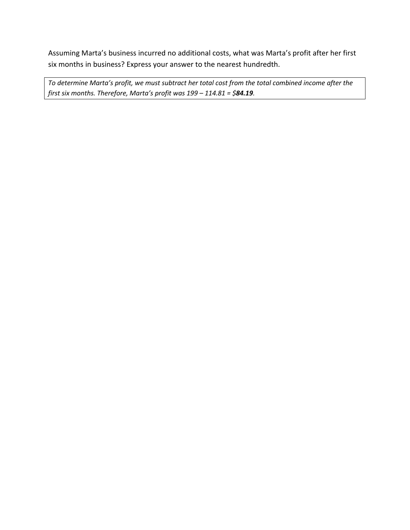Assuming Marta's business incurred no additional costs, what was Marta's profit after her first six months in business? Express your answer to the nearest hundredth.

*To determine Marta's profit, we must subtract her total cost from the total combined income after the first six months. Therefore, Marta's profit was 199 – 114.81 = \$84.19.*